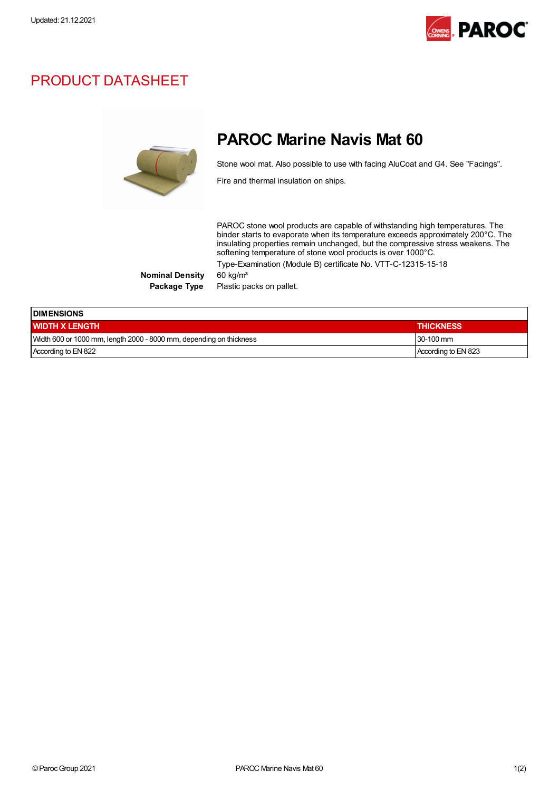

## PRODUCT DATASHEET



## PAROC Marine Navis Mat 60

Stone wool mat. Also possible to use with facing AluCoat and G4. See "Facings".

Fire and thermal insulation on ships.

PAROC stone wool products are capable of withstanding high temperatures. The binder starts to evaporate when its temperature exceeds approximately 200°C. The insulating properties remain unchanged, but the compressive stress weakens. The softening temperature of stone wool products is over 1000°C. Type-Examination (Module B) certificate No. VTT-C-12315-15-18

Nominal Density 60 kg/m<sup>3</sup>

Package Type Plastic packs on pallet.

| <b>IDIMENSIONS</b>                                                  |                     |  |
|---------------------------------------------------------------------|---------------------|--|
| <b>I WIDTH X LENGTH</b>                                             | <b>THICKNESS</b>    |  |
| Width 600 or 1000 mm, length 2000 - 8000 mm, depending on thickness | $130-100$ mm        |  |
| According to EN 822                                                 | According to EN 823 |  |